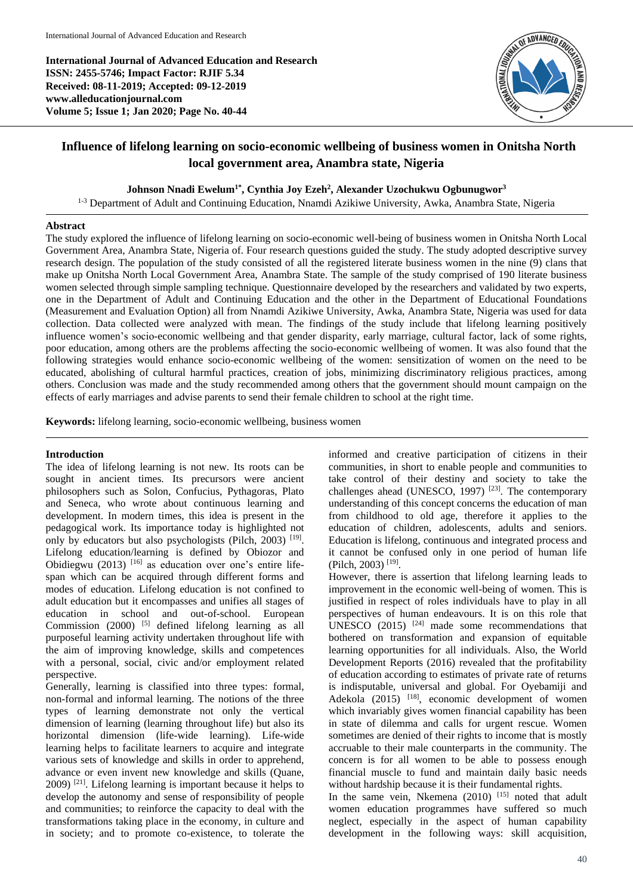**International Journal of Advanced Education and Research ISSN: 2455-5746; Impact Factor: RJIF 5.34 Received: 08-11-2019; Accepted: 09-12-2019 www.alleducationjournal.com Volume 5; Issue 1; Jan 2020; Page No. 40-44**



# **Influence of lifelong learning on socio-economic wellbeing of business women in Onitsha North local government area, Anambra state, Nigeria**

**Johnson Nnadi Ewelum1\* , Cynthia Joy Ezeh<sup>2</sup> , Alexander Uzochukwu Ogbunugwor<sup>3</sup>**

<sup>1-3</sup> Department of Adult and Continuing Education, Nnamdi Azikiwe University, Awka, Anambra State, Nigeria

# **Abstract**

The study explored the influence of lifelong learning on socio-economic well-being of business women in Onitsha North Local Government Area, Anambra State, Nigeria of. Four research questions guided the study. The study adopted descriptive survey research design. The population of the study consisted of all the registered literate business women in the nine (9) clans that make up Onitsha North Local Government Area, Anambra State. The sample of the study comprised of 190 literate business women selected through simple sampling technique. Questionnaire developed by the researchers and validated by two experts, one in the Department of Adult and Continuing Education and the other in the Department of Educational Foundations (Measurement and Evaluation Option) all from Nnamdi Azikiwe University, Awka, Anambra State, Nigeria was used for data collection. Data collected were analyzed with mean. The findings of the study include that lifelong learning positively influence women's socio-economic wellbeing and that gender disparity, early marriage, cultural factor, lack of some rights, poor education, among others are the problems affecting the socio-economic wellbeing of women. It was also found that the following strategies would enhance socio-economic wellbeing of the women: sensitization of women on the need to be educated, abolishing of cultural harmful practices, creation of jobs, minimizing discriminatory religious practices, among others. Conclusion was made and the study recommended among others that the government should mount campaign on the effects of early marriages and advise parents to send their female children to school at the right time.

**Keywords:** lifelong learning, socio-economic wellbeing, business women

## **Introduction**

The idea of lifelong learning is not new. Its roots can be sought in ancient times. Its precursors were ancient philosophers such as Solon, Confucius, Pythagoras, Plato and Seneca, who wrote about continuous learning and development. In modern times, this idea is present in the pedagogical work. Its importance today is highlighted not only by educators but also psychologists (Pilch, 2003)<sup>[19]</sup>. Lifelong education/learning is defined by Obiozor and Obidiegwu (2013)  $[16]$  as education over one's entire lifespan which can be acquired through different forms and modes of education. Lifelong education is not confined to adult education but it encompasses and unifies all stages of education in school and out-of-school. European Commission  $(2000)$ <sup>[5]</sup> defined lifelong learning as all purposeful learning activity undertaken throughout life with the aim of improving knowledge, skills and competences with a personal, social, civic and/or employment related perspective.

Generally, learning is classified into three types: formal, non-formal and informal learning. The notions of the three types of learning demonstrate not only the vertical dimension of learning (learning throughout life) but also its horizontal dimension (life-wide learning). Life-wide learning helps to facilitate learners to acquire and integrate various sets of knowledge and skills in order to apprehend, advance or even invent new knowledge and skills (Quane,  $2009$ <sup>[21]</sup>. Lifelong learning is important because it helps to develop the autonomy and sense of responsibility of people and communities; to reinforce the capacity to deal with the transformations taking place in the economy, in culture and in society; and to promote co-existence, to tolerate the informed and creative participation of citizens in their communities, in short to enable people and communities to take control of their destiny and society to take the challenges ahead (UNESCO, 1997)  $[23]$ . The contemporary understanding of this concept concerns the education of man from childhood to old age, therefore it applies to the education of children, adolescents, adults and seniors. Education is lifelong, continuous and integrated process and it cannot be confused only in one period of human life (Pilch, 2003) [19] .

However, there is assertion that lifelong learning leads to improvement in the economic well-being of women. This is justified in respect of roles individuals have to play in all perspectives of human endeavours. It is on this role that UNESCO  $(2015)$  <sup>[24]</sup> made some recommendations that bothered on transformation and expansion of equitable learning opportunities for all individuals. Also, the World Development Reports (2016) revealed that the profitability of education according to estimates of private rate of returns is indisputable, universal and global. For Oyebamiji and Adekola (2015) <sup>[18]</sup>, economic development of women which invariably gives women financial capability has been in state of dilemma and calls for urgent rescue. Women sometimes are denied of their rights to income that is mostly accruable to their male counterparts in the community. The concern is for all women to be able to possess enough financial muscle to fund and maintain daily basic needs without hardship because it is their fundamental rights.

In the same vein, Nkemena  $(2010)$  [15] noted that adult women education programmes have suffered so much neglect, especially in the aspect of human capability development in the following ways: skill acquisition,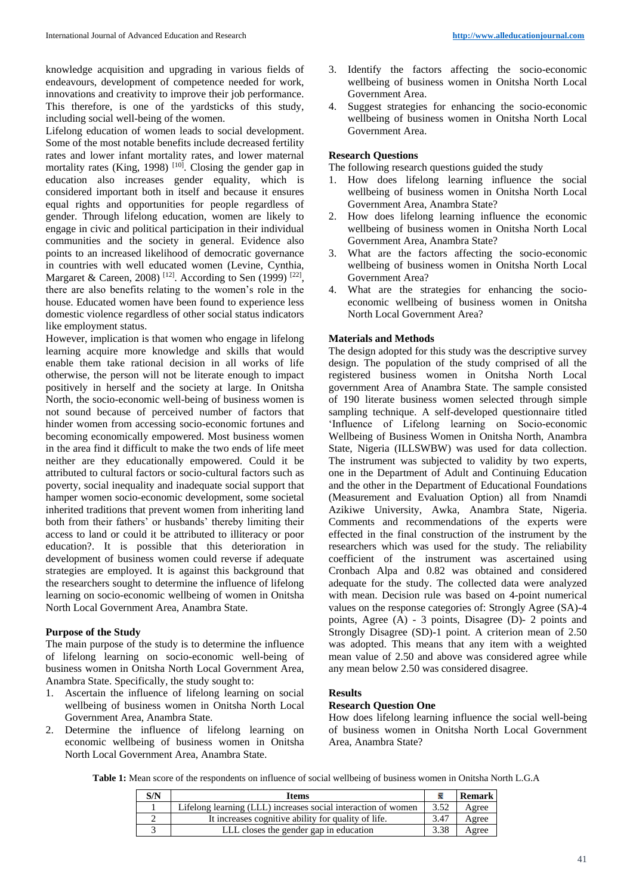knowledge acquisition and upgrading in various fields of endeavours, development of competence needed for work, innovations and creativity to improve their job performance. This therefore, is one of the yardsticks of this study, including social well-being of the women.

Lifelong education of women leads to social development. Some of the most notable benefits include decreased fertility rates and lower infant mortality rates, and lower maternal mortality rates (King, 1998)<sup>[10]</sup>. Closing the gender gap in education also increases gender equality, which is considered important both in itself and because it ensures equal rights and opportunities for people regardless of gender. Through lifelong education, women are likely to engage in civic and political participation in their individual communities and the society in general. Evidence also points to an increased likelihood of democratic governance in countries with well educated women (Levine, Cynthia, Margaret & Careen, 2008)<sup>[12]</sup>. According to Sen (1999)<sup>[22]</sup>, there are also benefits relating to the women's role in the house. Educated women have been found to experience less domestic violence regardless of other social status indicators like employment status.

However, implication is that women who engage in lifelong learning acquire more knowledge and skills that would enable them take rational decision in all works of life otherwise, the person will not be literate enough to impact positively in herself and the society at large. In Onitsha North, the socio-economic well-being of business women is not sound because of perceived number of factors that hinder women from accessing socio-economic fortunes and becoming economically empowered. Most business women in the area find it difficult to make the two ends of life meet neither are they educationally empowered. Could it be attributed to cultural factors or socio-cultural factors such as poverty, social inequality and inadequate social support that hamper women socio-economic development, some societal inherited traditions that prevent women from inheriting land both from their fathers' or husbands' thereby limiting their access to land or could it be attributed to illiteracy or poor education?. It is possible that this deterioration in development of business women could reverse if adequate strategies are employed. It is against this background that the researchers sought to determine the influence of lifelong learning on socio-economic wellbeing of women in Onitsha North Local Government Area, Anambra State.

# **Purpose of the Study**

The main purpose of the study is to determine the influence of lifelong learning on socio-economic well-being of business women in Onitsha North Local Government Area, Anambra State. Specifically, the study sought to:

- 1. Ascertain the influence of lifelong learning on social wellbeing of business women in Onitsha North Local Government Area, Anambra State.
- 2. Determine the influence of lifelong learning on economic wellbeing of business women in Onitsha North Local Government Area, Anambra State.
- 3. Identify the factors affecting the socio-economic wellbeing of business women in Onitsha North Local Government Area.
- 4. Suggest strategies for enhancing the socio-economic wellbeing of business women in Onitsha North Local Government Area.

# **Research Questions**

The following research questions guided the study

- 1. How does lifelong learning influence the social wellbeing of business women in Onitsha North Local Government Area, Anambra State?
- 2. How does lifelong learning influence the economic wellbeing of business women in Onitsha North Local Government Area, Anambra State?
- 3. What are the factors affecting the socio-economic wellbeing of business women in Onitsha North Local Government Area?
- 4. What are the strategies for enhancing the socioeconomic wellbeing of business women in Onitsha North Local Government Area?

## **Materials and Methods**

The design adopted for this study was the descriptive survey design. The population of the study comprised of all the registered business women in Onitsha North Local government Area of Anambra State. The sample consisted of 190 literate business women selected through simple sampling technique. A self-developed questionnaire titled 'Influence of Lifelong learning on Socio-economic Wellbeing of Business Women in Onitsha North, Anambra State, Nigeria (ILLSWBW) was used for data collection. The instrument was subjected to validity by two experts, one in the Department of Adult and Continuing Education and the other in the Department of Educational Foundations (Measurement and Evaluation Option) all from Nnamdi Azikiwe University, Awka, Anambra State, Nigeria. Comments and recommendations of the experts were effected in the final construction of the instrument by the researchers which was used for the study. The reliability coefficient of the instrument was ascertained using Cronbach Alpa and 0.82 was obtained and considered adequate for the study. The collected data were analyzed with mean. Decision rule was based on 4-point numerical values on the response categories of: Strongly Agree (SA)-4 points, Agree  $(A)$  - 3 points, Disagree  $(D)$ - 2 points and Strongly Disagree (SD)-1 point. A criterion mean of 2.50 was adopted. This means that any item with a weighted mean value of 2.50 and above was considered agree while any mean below 2.50 was considered disagree.

#### **Results**

# **Research Question One**

How does lifelong learning influence the social well-being of business women in Onitsha North Local Government Area, Anambra State?

**Table 1:** Mean score of the respondents on influence of social wellbeing of business women in Onitsha North L.G.A

| S/N | <b>Items</b>                                                  |      | <b>Remark</b> |
|-----|---------------------------------------------------------------|------|---------------|
|     | Lifelong learning (LLL) increases social interaction of women | 3.52 | Agree         |
|     | It increases cognitive ability for quality of life.           | 3.47 | Agree         |
|     | LLL closes the gender gap in education                        | 3.38 | Agree         |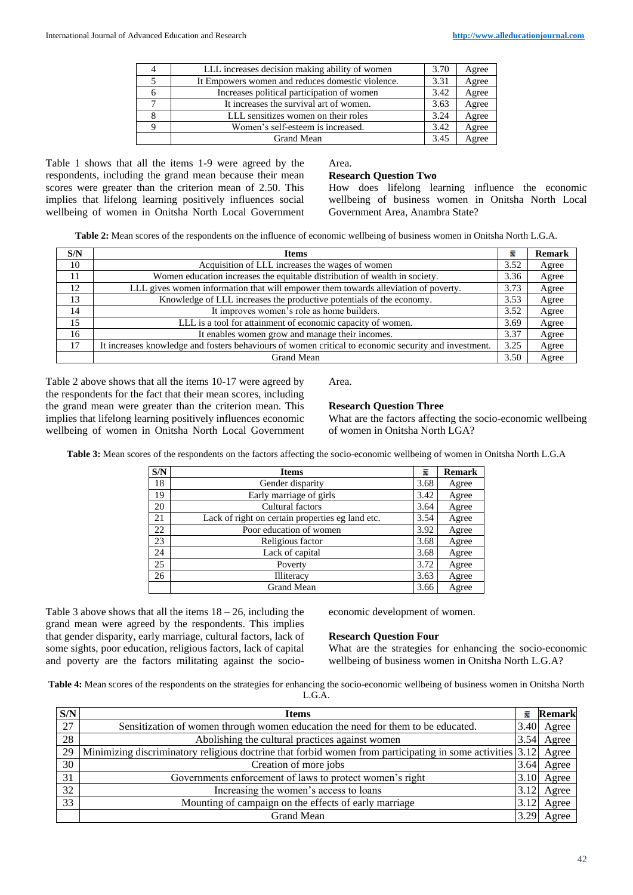| $\overline{4}$ | LLL increases decision making ability of women   | 3.70 | Agree |
|----------------|--------------------------------------------------|------|-------|
|                | It Empowers women and reduces domestic violence. | 3.31 | Agree |
| 6              | Increases political participation of women       | 3.42 | Agree |
|                | It increases the survival art of women.          | 3.63 | Agree |
| 8              | LLL sensitizes women on their roles              | 3.24 | Agree |
| Q              | Women's self-esteem is increased.                | 3.42 | Agree |
|                | Grand Mean                                       | 3.45 | Agree |

Table 1 shows that all the items 1-9 were agreed by the respondents, including the grand mean because their mean scores were greater than the criterion mean of 2.50. This implies that lifelong learning positively influences social wellbeing of women in Onitsha North Local Government Area.

#### **Research Question Two**

How does lifelong learning influence the economic wellbeing of business women in Onitsha North Local Government Area, Anambra State?

**Table 2:** Mean scores of the respondents on the influence of economic wellbeing of business women in Onitsha North L.G.A.

| S/N | <b>Items</b>                                                                                         | x    | <b>Remark</b> |
|-----|------------------------------------------------------------------------------------------------------|------|---------------|
| 10  | Acquisition of LLL increases the wages of women                                                      | 3.52 | Agree         |
| 11  | Women education increases the equitable distribution of wealth in society.                           | 3.36 | Agree         |
| 12  | LLL gives women information that will empower them towards alleviation of poverty.                   | 3.73 | Agree         |
| 13  | Knowledge of LLL increases the productive potentials of the economy.                                 | 3.53 | Agree         |
| 14  | It improves women's role as home builders.                                                           | 3.52 | Agree         |
| 15  | LLL is a tool for attainment of economic capacity of women.                                          | 3.69 | Agree         |
| 16  | It enables women grow and manage their incomes.                                                      | 3.37 | Agree         |
| 17  | It increases knowledge and fosters behaviours of women critical to economic security and investment. | 3.25 | Agree         |
|     | <b>Grand Mean</b>                                                                                    | 3.50 | Agree         |

Table 2 above shows that all the items 10-17 were agreed by the respondents for the fact that their mean scores, including the grand mean were greater than the criterion mean. This implies that lifelong learning positively influences economic wellbeing of women in Onitsha North Local Government Area.

## **Research Question Three**

What are the factors affecting the socio-economic wellbeing of women in Onitsha North LGA?

**Table 3:** Mean scores of the respondents on the factors affecting the socio-economic wellbeing of women in Onitsha North L.G.A

| S/N | <b>Items</b>                                     | 륯    | <b>Remark</b> |  |
|-----|--------------------------------------------------|------|---------------|--|
| 18  | Gender disparity                                 | 3.68 | Agree         |  |
| 19  | Early marriage of girls                          | 3.42 | Agree         |  |
| 20  | Cultural factors                                 | 3.64 | Agree         |  |
| 21  | Lack of right on certain properties eg land etc. | 3.54 | Agree         |  |
| 22  | Poor education of women                          | 3.92 | Agree         |  |
| 23  | Religious factor                                 | 3.68 | Agree         |  |
| 24  | Lack of capital                                  | 3.68 | Agree         |  |
| 25  | Poverty                                          | 3.72 | Agree         |  |
| 26  | Illiteracy                                       | 3.63 | Agree         |  |
|     | <b>Grand Mean</b>                                | 3.66 | Agree         |  |

Table 3 above shows that all the items  $18 - 26$ , including the grand mean were agreed by the respondents. This implies that gender disparity, early marriage, cultural factors, lack of some sights, poor education, religious factors, lack of capital and poverty are the factors militating against the socioeconomic development of women.

# **Research Question Four**

What are the strategies for enhancing the socio-economic wellbeing of business women in Onitsha North L.G.A?

**Table 4:** Mean scores of the respondents on the strategies for enhancing the socio-economic wellbeing of business women in Onitsha North L.G.A.

| S/N | <b>Items</b>                                                                                                | x    | <b>Remark</b> |
|-----|-------------------------------------------------------------------------------------------------------------|------|---------------|
| 27  | Sensitization of women through women education the need for them to be educated.                            | 3.40 | Agree         |
| 28  | Abolishing the cultural practices against women                                                             | 3.54 | Agree         |
| 29  | Minimizing discriminatory religious doctrine that forbid women from participating in some activities [3.12] |      | Agree         |
| 30  | Creation of more jobs                                                                                       | 3.64 | Agree         |
| 31  | Governments enforcement of laws to protect women's right                                                    | 3.10 | Agree         |
| 32  | Increasing the women's access to loans                                                                      | 3.12 | Agree         |
| 33  | Mounting of campaign on the effects of early marriage                                                       | 3.12 | Agree         |
|     | <b>Grand Mean</b>                                                                                           | 3.29 | Agree         |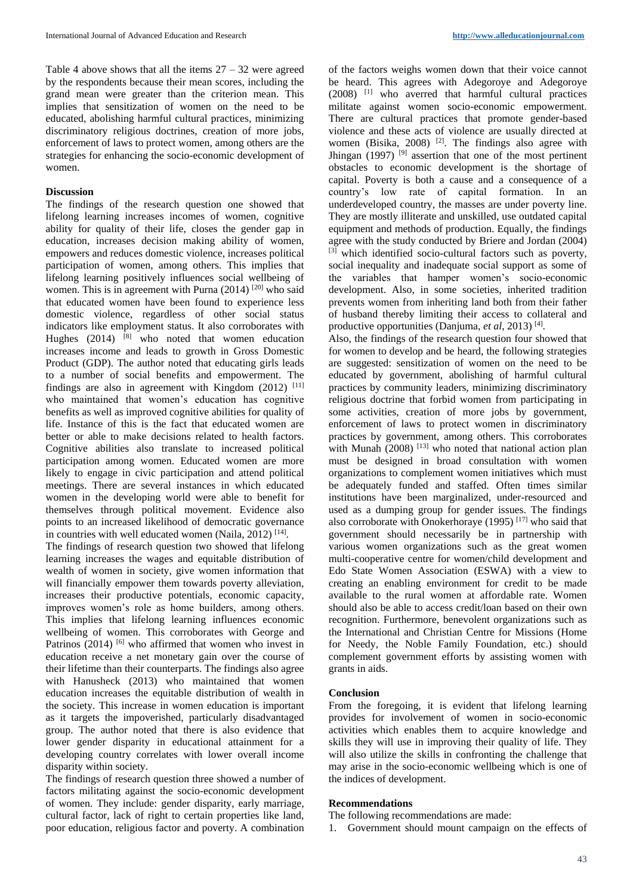Table 4 above shows that all the items  $27 - 32$  were agreed by the respondents because their mean scores, including the grand mean were greater than the criterion mean. This implies that sensitization of women on the need to be educated, abolishing harmful cultural practices, minimizing discriminatory religious doctrines, creation of more jobs, enforcement of laws to protect women, among others are the strategies for enhancing the socio-economic development of women.

# **Discussion**

The findings of the research question one showed that lifelong learning increases incomes of women, cognitive ability for quality of their life, closes the gender gap in education, increases decision making ability of women, empowers and reduces domestic violence, increases political participation of women, among others. This implies that lifelong learning positively influences social wellbeing of women. This is in agreement with Purna  $(2014)$  <sup>[20]</sup> who said that educated women have been found to experience less domestic violence, regardless of other social status indicators like employment status. It also corroborates with Hughes  $(2014)$  <sup>[8]</sup> who noted that women education increases income and leads to growth in Gross Domestic Product (GDP). The author noted that educating girls leads to a number of social benefits and empowerment. The findings are also in agreement with Kingdom  $(2012)$ <sup>[11]</sup> who maintained that women's education has cognitive benefits as well as improved cognitive abilities for quality of life. Instance of this is the fact that educated women are better or able to make decisions related to health factors. Cognitive abilities also translate to increased political participation among women. Educated women are more likely to engage in civic participation and attend political meetings. There are several instances in which educated women in the developing world were able to benefit for themselves through political movement. Evidence also points to an increased likelihood of democratic governance in countries with well educated women (Naila, 2012)<sup>[14]</sup>.

The findings of research question two showed that lifelong learning increases the wages and equitable distribution of wealth of women in society, give women information that will financially empower them towards poverty alleviation, increases their productive potentials, economic capacity, improves women's role as home builders, among others. This implies that lifelong learning influences economic wellbeing of women. This corroborates with George and Patrinos  $(2014)$ <sup>[6]</sup> who affirmed that women who invest in education receive a net monetary gain over the course of their lifetime than their counterparts. The findings also agree with Hanusheck (2013) who maintained that women education increases the equitable distribution of wealth in the society. This increase in women education is important as it targets the impoverished, particularly disadvantaged group. The author noted that there is also evidence that lower gender disparity in educational attainment for a developing country correlates with lower overall income disparity within society.

The findings of research question three showed a number of factors militating against the socio-economic development of women. They include: gender disparity, early marriage, cultural factor, lack of right to certain properties like land, poor education, religious factor and poverty. A combination of the factors weighs women down that their voice cannot be heard. This agrees with Adegoroye and Adegoroye (2008) [1] who averred that harmful cultural practices militate against women socio-economic empowerment. There are cultural practices that promote gender-based violence and these acts of violence are usually directed at women (Bisika, 2008) <sup>[2]</sup>. The findings also agree with Jhingan (1997)<sup>[9]</sup> assertion that one of the most pertinent obstacles to economic development is the shortage of capital. Poverty is both a cause and a consequence of a country's low rate of capital formation. In an underdeveloped country, the masses are under poverty line. They are mostly illiterate and unskilled, use outdated capital equipment and methods of production. Equally, the findings agree with the study conducted by Briere and Jordan (2004) [3] which identified socio-cultural factors such as poverty, social inequality and inadequate social support as some of the variables that hamper women's socio-economic development. Also, in some societies, inherited tradition prevents women from inheriting land both from their father of husband thereby limiting their access to collateral and productive opportunities (Danjuma, et al, 2013)<sup>[4]</sup>.

Also, the findings of the research question four showed that for women to develop and be heard, the following strategies are suggested: sensitization of women on the need to be educated by government, abolishing of harmful cultural practices by community leaders, minimizing discriminatory religious doctrine that forbid women from participating in some activities, creation of more jobs by government, enforcement of laws to protect women in discriminatory practices by government, among others. This corroborates with Munah  $(2008)$ <sup>[13]</sup> who noted that national action plan must be designed in broad consultation with women organizations to complement women initiatives which must be adequately funded and staffed. Often times similar institutions have been marginalized, under-resourced and used as a dumping group for gender issues. The findings also corroborate with Onokerhoraye  $(1995)$ <sup>[17]</sup> who said that government should necessarily be in partnership with various women organizations such as the great women multi-cooperative centre for women/child development and Edo State Women Association (ESWA) with a view to creating an enabling environment for credit to be made available to the rural women at affordable rate. Women should also be able to access credit/loan based on their own recognition. Furthermore, benevolent organizations such as the International and Christian Centre for Missions (Home for Needy, the Noble Family Foundation, etc.) should complement government efforts by assisting women with grants in aids.

# **Conclusion**

From the foregoing, it is evident that lifelong learning provides for involvement of women in socio-economic activities which enables them to acquire knowledge and skills they will use in improving their quality of life. They will also utilize the skills in confronting the challenge that may arise in the socio-economic wellbeing which is one of the indices of development.

# **Recommendations**

The following recommendations are made:

1. Government should mount campaign on the effects of